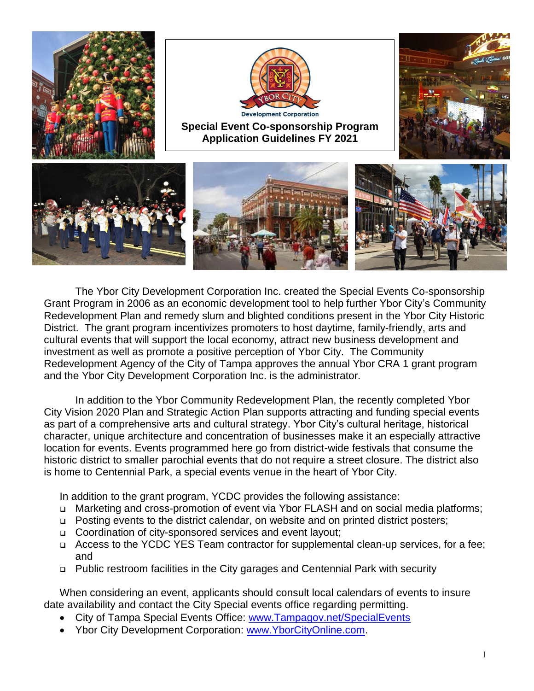

The Ybor City Development Corporation Inc. created the Special Events Co-sponsorship Grant Program in 2006 as an economic development tool to help further Ybor City's Community Redevelopment Plan and remedy slum and blighted conditions present in the Ybor City Historic District. The grant program incentivizes promoters to host daytime, family-friendly, arts and cultural events that will support the local economy, attract new business development and investment as well as promote a positive perception of Ybor City. The Community Redevelopment Agency of the City of Tampa approves the annual Ybor CRA 1 grant program and the Ybor City Development Corporation Inc. is the administrator.

In addition to the Ybor Community Redevelopment Plan, the recently completed Ybor City Vision 2020 Plan and Strategic Action Plan supports attracting and funding special events as part of a comprehensive arts and cultural strategy. Ybor City's cultural heritage, historical character, unique architecture and concentration of businesses make it an especially attractive location for events. Events programmed here go from district-wide festivals that consume the historic district to smaller parochial events that do not require a street closure. The district also is home to Centennial Park, a special events venue in the heart of Ybor City.

In addition to the grant program, YCDC provides the following assistance:

- □ Marketing and cross-promotion of event via Ybor FLASH and on social media platforms;
- □ Posting events to the district calendar, on website and on printed district posters;
- □ Coordination of city-sponsored services and event layout;
- □ Access to the YCDC YES Team contractor for supplemental clean-up services, for a fee; and
- Public restroom facilities in the City garages and Centennial Park with security

When considering an event, applicants should consult local calendars of events to insure date availability and contact the City Special events office regarding permitting.

- City of Tampa Special Events Office: [www.Tampagov.net/SpecialEvents](http://www.tampagov.net/SpecialEvents)
- Ybor City Development Corporation: [www.YborCityOnline.com.](http://www.yborcityonline.com/)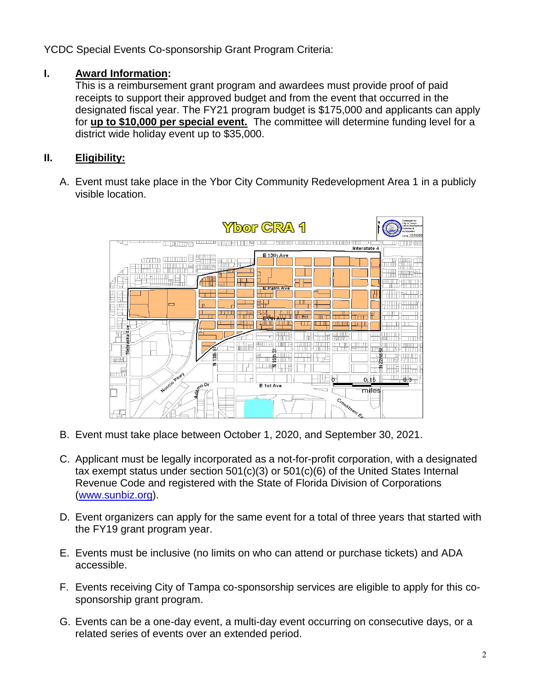YCDC Special Events Co-sponsorship Grant Program Criteria:

## **I. Award Information:**

This is a reimbursement grant program and awardees must provide proof of paid receipts to support their approved budget and from the event that occurred in the designated fiscal year. The FY21 program budget is \$175,000 and applicants can apply for **up to \$10,000 per special event.** The committee will determine funding level for a district wide holiday event up to \$35,000.

# **II. Eligibility:**

A. Event must take place in the Ybor City Community Redevelopment Area 1 in a publicly visible location.



- B. Event must take place between October 1, 2020, and September 30, 2021.
- C. Applicant must be legally incorporated as a not-for-profit corporation, with a designated tax exempt status under section 501(c)(3) or 501(c)(6) of the United States Internal Revenue Code and registered with the State of Florida Division of Corporations [\(www.sunbiz.org\)](http://www.sunbiz.org/).
- D. Event organizers can apply for the same event for a total of three years that started with the FY19 grant program year.
- E. Events must be inclusive (no limits on who can attend or purchase tickets) and ADA accessible.
- F. Events receiving City of Tampa co-sponsorship services are eligible to apply for this cosponsorship grant program.
- G. Events can be a one-day event, a multi-day event occurring on consecutive days, or a related series of events over an extended period.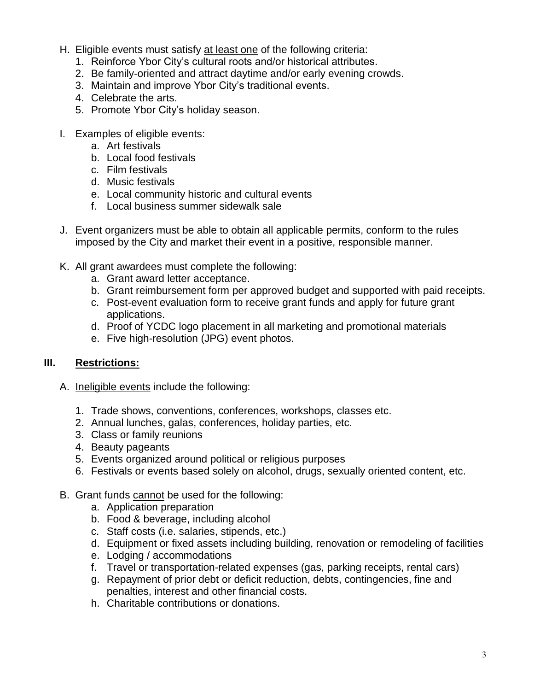- H. Eligible events must satisfy at least one of the following criteria:
	- 1. Reinforce Ybor City's cultural roots and/or historical attributes.
	- 2. Be family-oriented and attract daytime and/or early evening crowds.
	- 3. Maintain and improve Ybor City's traditional events.
	- 4. Celebrate the arts.
	- 5. Promote Ybor City's holiday season.
- I. Examples of eligible events:
	- a. Art festivals
	- b. Local food festivals
	- c. Film festivals
	- d. Music festivals
	- e. Local community historic and cultural events
	- f. Local business summer sidewalk sale
- J. Event organizers must be able to obtain all applicable permits, conform to the rules imposed by the City and market their event in a positive, responsible manner.
- K. All grant awardees must complete the following:
	- a. Grant award letter acceptance.
	- b. Grant reimbursement form per approved budget and supported with paid receipts.
	- c. Post-event evaluation form to receive grant funds and apply for future grant applications.
	- d. Proof of YCDC logo placement in all marketing and promotional materials
	- e. Five high-resolution (JPG) event photos.

#### **III. Restrictions:**

- A. Ineligible events include the following:
	- 1. Trade shows, conventions, conferences, workshops, classes etc.
	- 2. Annual lunches, galas, conferences, holiday parties, etc.
	- 3. Class or family reunions
	- 4. Beauty pageants
	- 5. Events organized around political or religious purposes
	- 6. Festivals or events based solely on alcohol, drugs, sexually oriented content, etc.
- B. Grant funds cannot be used for the following:
	- a. Application preparation
	- b. Food & beverage, including alcohol
	- c. Staff costs (i.e. salaries, stipends, etc.)
	- d. Equipment or fixed assets including building, renovation or remodeling of facilities
	- e. Lodging / accommodations
	- f. Travel or transportation-related expenses (gas, parking receipts, rental cars)
	- g. Repayment of prior debt or deficit reduction, debts, contingencies, fine and penalties, interest and other financial costs.
	- h. Charitable contributions or donations.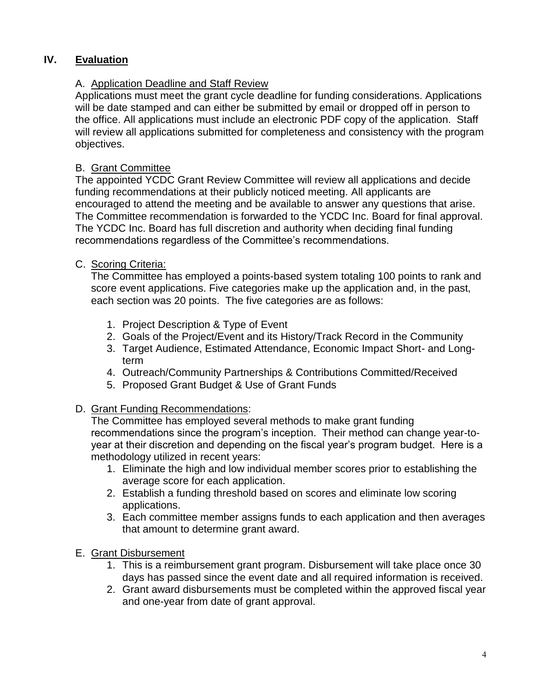# **IV. Evaluation**

## A. Application Deadline and Staff Review

Applications must meet the grant cycle deadline for funding considerations. Applications will be date stamped and can either be submitted by email or dropped off in person to the office. All applications must include an electronic PDF copy of the application. Staff will review all applications submitted for completeness and consistency with the program objectives.

#### B. Grant Committee

The appointed YCDC Grant Review Committee will review all applications and decide funding recommendations at their publicly noticed meeting. All applicants are encouraged to attend the meeting and be available to answer any questions that arise. The Committee recommendation is forwarded to the YCDC Inc. Board for final approval. The YCDC Inc. Board has full discretion and authority when deciding final funding recommendations regardless of the Committee's recommendations.

#### C. Scoring Criteria:

The Committee has employed a points-based system totaling 100 points to rank and score event applications. Five categories make up the application and, in the past, each section was 20 points. The five categories are as follows:

- 1. Project Description & Type of Event
- 2. Goals of the Project/Event and its History/Track Record in the Community
- 3. Target Audience, Estimated Attendance, Economic Impact Short- and Longterm
- 4. Outreach/Community Partnerships & Contributions Committed/Received
- 5. Proposed Grant Budget & Use of Grant Funds

#### D. Grant Funding Recommendations:

The Committee has employed several methods to make grant funding recommendations since the program's inception. Their method can change year-toyear at their discretion and depending on the fiscal year's program budget. Here is a methodology utilized in recent years:

- 1. Eliminate the high and low individual member scores prior to establishing the average score for each application.
- 2. Establish a funding threshold based on scores and eliminate low scoring applications.
- 3. Each committee member assigns funds to each application and then averages that amount to determine grant award.

#### E. Grant Disbursement

- 1. This is a reimbursement grant program. Disbursement will take place once 30 days has passed since the event date and all required information is received.
- 2. Grant award disbursements must be completed within the approved fiscal year and one-year from date of grant approval.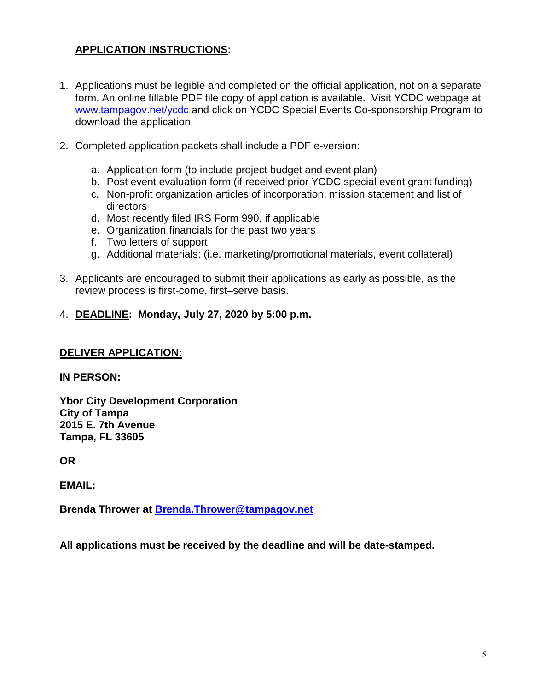#### **APPLICATION INSTRUCTIONS:**

- 1. Applications must be legible and completed on the official application, not on a separate form. An online fillable PDF file copy of application is available. Visit YCDC webpage at [www.tampagov.net/ycdc](http://www.tampagov.net/ycdc) and click on YCDC Special Events Co-sponsorship Program to download the application.
- 2. Completed application packets shall include a PDF e-version:
	- a. Application form (to include project budget and event plan)
	- b. Post event evaluation form (if received prior YCDC special event grant funding)
	- c. Non-profit organization articles of incorporation, mission statement and list of directors
	- d. Most recently filed IRS Form 990, if applicable
	- e. Organization financials for the past two years
	- f. Two letters of support
	- g. Additional materials: (i.e. marketing/promotional materials, event collateral)
- 3. Applicants are encouraged to submit their applications as early as possible, as the review process is first-come, first–serve basis.
- 4. **DEADLINE: Monday, July 27, 2020 by 5:00 p.m.**

#### **DELIVER APPLICATION:**

#### **IN PERSON:**

**Ybor City Development Corporation City of Tampa 2015 E. 7th Avenue Tampa, FL 33605**

**OR** 

**EMAIL:**

**Brenda Thrower at [Brenda.Thrower@tampagov.net](mailto:Brenda.Thrower@tampagov.net)**

**All applications must be received by the deadline and will be date-stamped.**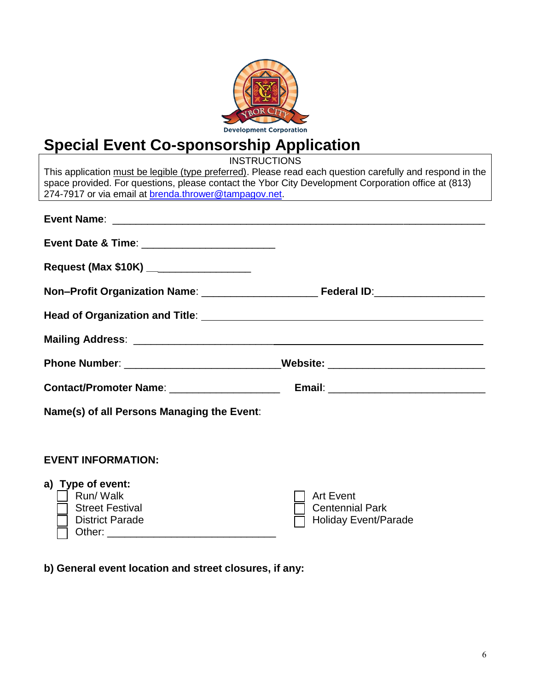

# **Special Event Co-sponsorship Application**

**INSTRUCTIONS** This application must be legible (type preferred). Please read each question carefully and respond in the space provided. For questions, please contact the Ybor City Development Corporation office at (813) 274-7917 or via email at [brenda.thrower@tampagov.net.](mailto:Vince.Pardo@tampagov.net) **Event Name**: \_\_\_\_\_\_\_\_\_\_\_\_\_\_\_\_\_\_\_\_\_\_\_\_\_\_\_\_\_\_\_\_\_\_\_\_\_\_\_\_\_\_\_\_\_\_\_\_\_\_\_\_\_\_\_\_\_\_\_\_\_\_\_\_ **Event Date & Time:**  $\blacksquare$ **Request (Max \$10K) \_\_**\_\_\_\_\_\_\_\_\_\_\_\_\_\_\_\_ **Non–Profit Organization Name**: \_\_\_\_\_\_\_\_\_\_\_\_\_\_\_\_\_\_\_\_ **Federal ID**:\_\_\_\_\_\_\_\_\_\_\_\_\_\_\_\_\_\_\_ **Head of Organization and Title**: **Mailing Address**: \_\_\_\_\_\_\_\_\_\_\_\_\_\_\_\_\_\_\_\_\_\_\_\_ Phone Number: \_\_\_\_\_\_\_\_\_\_\_\_\_\_\_\_\_\_\_\_\_\_\_\_\_\_\_\_\_Website: \_\_\_\_\_\_\_\_\_\_\_\_\_\_\_\_\_\_\_\_\_\_\_\_\_\_\_\_ **Contact/Promoter Name**: \_\_\_\_\_\_\_\_\_\_\_\_\_\_\_\_\_\_\_ **Email**: \_\_\_\_\_\_\_\_\_\_\_\_\_\_\_\_\_\_\_\_\_\_\_\_\_\_\_ **Name(s) of all Persons Managing the Event**: **EVENT INFORMATION: a) Type of event:** Run/ Walk Street Festival District Parade Art Event Centennial Park Holiday Event/Parade Other: \_\_\_\_\_\_\_\_\_\_\_\_\_\_\_\_\_\_\_\_\_\_\_\_\_\_\_\_\_

**b) General event location and street closures, if any:**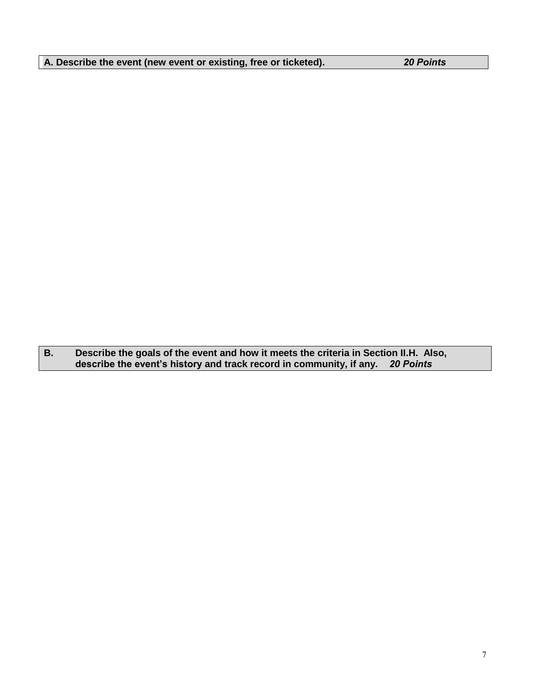| A. Describe the event (new event or existing, free or ticketed). | <b>20 Points</b> |
|------------------------------------------------------------------|------------------|
|------------------------------------------------------------------|------------------|

**B. Describe the goals of the event and how it meets the criteria in Section II.H. Also, describe the event's history and track record in community, if any.** *20 Points*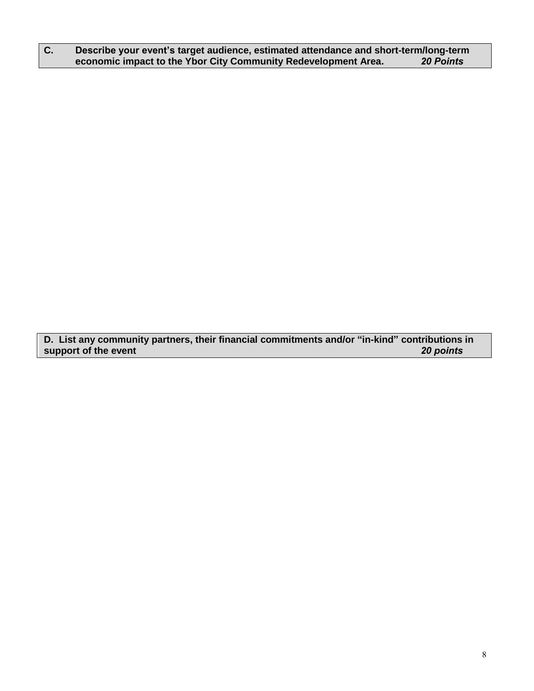#### **C. Describe your event's target audience, estimated attendance and short-term/long-term economic impact to the Ybor City Community Redevelopment Area.** *20 Points*

**D. List any community partners, their financial commitments and/or "in-kind" contributions in** support of the event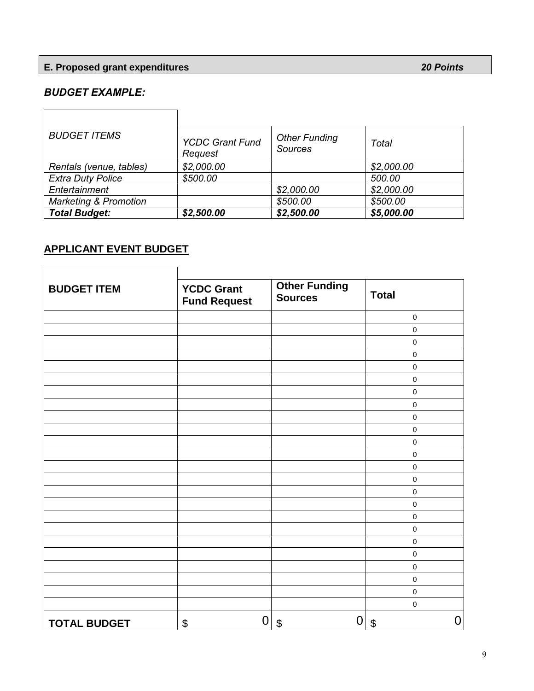# **E. Proposed grant expenditures** *20 Points*

## *BUDGET EXAMPLE:*

| <b>BUDGET ITEMS</b>              | <b>YCDC Grant Fund</b><br>Request | <b>Other Funding</b><br><b>Sources</b> | Total      |
|----------------------------------|-----------------------------------|----------------------------------------|------------|
| Rentals (venue, tables)          | \$2,000.00                        |                                        | \$2,000.00 |
| <b>Extra Duty Police</b>         | \$500.00                          |                                        | 500.00     |
| Entertainment                    |                                   | \$2,000.00                             | \$2,000.00 |
| <b>Marketing &amp; Promotion</b> |                                   | \$500.00                               | \$500.00   |
| <b>Total Budget:</b>             | \$2,500.00                        | \$2,500.00                             | \$5,000.00 |

# **APPLICANT EVENT BUDGET**

٦

 $\Box$ 

| <b>BUDGET ITEM</b>  | <b>YCDC Grant</b><br><b>Fund Request</b> | <b>Other Funding</b><br><b>Sources</b> | <b>Total</b> |
|---------------------|------------------------------------------|----------------------------------------|--------------|
|                     |                                          |                                        | $\pmb{0}$    |
|                     |                                          |                                        | $\pmb{0}$    |
|                     |                                          |                                        | $\pmb{0}$    |
|                     |                                          |                                        | $\pmb{0}$    |
|                     |                                          |                                        | $\pmb{0}$    |
|                     |                                          |                                        | $\pmb{0}$    |
|                     |                                          |                                        | $\pmb{0}$    |
|                     |                                          |                                        | $\pmb{0}$    |
|                     |                                          |                                        | $\pmb{0}$    |
|                     |                                          |                                        | $\pmb{0}$    |
|                     |                                          |                                        | $\mathbf 0$  |
|                     |                                          |                                        | $\mathbf 0$  |
|                     |                                          |                                        | $\pmb{0}$    |
|                     |                                          |                                        | $\pmb{0}$    |
|                     |                                          |                                        | $\mathbf 0$  |
|                     |                                          |                                        | $\pmb{0}$    |
|                     |                                          |                                        | $\mathbf 0$  |
|                     |                                          |                                        | $\pmb{0}$    |
|                     |                                          |                                        | $\mathsf 0$  |
|                     |                                          |                                        | $\mathbf 0$  |
|                     |                                          |                                        | $\pmb{0}$    |
|                     |                                          |                                        | $\pmb{0}$    |
|                     |                                          |                                        | $\mathbf 0$  |
|                     |                                          |                                        | $\mathbf 0$  |
| <b>TOTAL BUDGET</b> | \$                                       | 0<br>0<br>$\boldsymbol{\theta}$        | 0<br>\$      |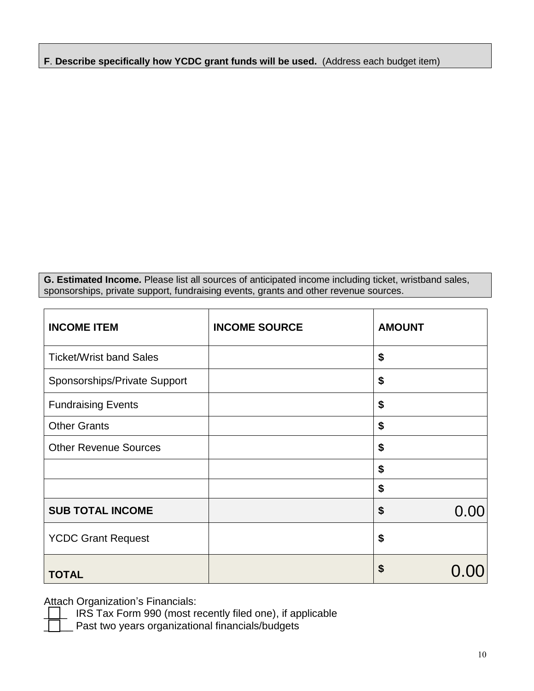**F**. **Describe specifically how YCDC grant funds will be used.** (Address each budget item)

**G. Estimated Income.** Please list all sources of anticipated income including ticket, wristband sales, sponsorships, private support, fundraising events, grants and other revenue sources.

| <b>INCOME ITEM</b>             | <b>INCOME SOURCE</b> | <b>AMOUNT</b> |
|--------------------------------|----------------------|---------------|
| <b>Ticket/Wrist band Sales</b> |                      | \$            |
| Sponsorships/Private Support   |                      | \$            |
| <b>Fundraising Events</b>      |                      | \$            |
| <b>Other Grants</b>            |                      | \$            |
| <b>Other Revenue Sources</b>   |                      | \$            |
|                                |                      | \$            |
|                                |                      | \$            |
| <b>SUB TOTAL INCOME</b>        |                      | \$<br>0.00    |
| <b>YCDC Grant Request</b>      |                      | \$            |
| <b>TOTAL</b>                   |                      | \$            |

Attach Organization's Financials:

IRS Tax Form 990 (most recently filed one), if applicable

Past two years organizational financials/budgets